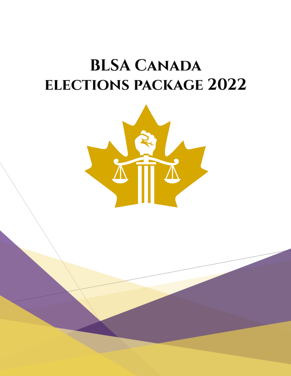# **BLSA CANADA ELECTIONS PACKAGE 2022**

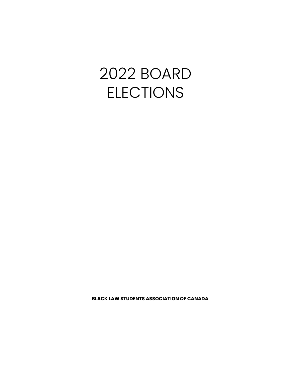# 2022 BOARD ELECTIONS

**BLACK LAW STUDENTS ASSOCIATION OF CANADA**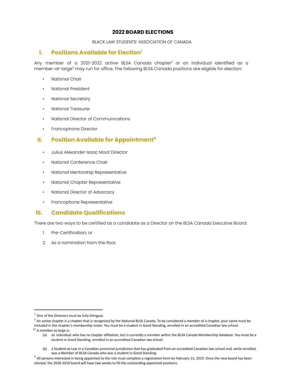# **2022 BOARD ELECTIONS**

# BLACK LAW STUDENTS' ASSOCIATION OF CANADA

# **I. Positions Available for Election 1**

Any member of a 2021-2022 active BLSA Canada chapter $^{\rm 2}$  or an individual identified as a member-at-large $^{\rm 3}$  may run for office. The following BLSA Canada positions are eligible for election:

- National Chair
- National President
- National Secretary
- National Treasurer
- National Director of Communications
- Francophone Director

# **II. Position Available for Appointment 4**

- Julius Alexander Isaac Moot Director
- National Conference Chair
- National Mentorship Representative
- National Chapter Representative
- National Director of Advocacy
- Francophone Representative

# **III. Candidate Qualifications**

There are two ways to be certified as a candidate as a Director on the BLSA Canada Executive Board:

- 1. Pre-Certification; or
- 2. As a nomination from the floor.

 $1$  One of the Directors must be fully bilingual.

 $^2$  An active chapter is a chapter that is recognized by the National BLSA Canada. To be considered a member of a chapter, your name must be

included in the chapter's membership roster. You must be a student in Good Standing, enrolled in an accredited Canadian law school.

 $33$  A member-at-large is:

<sup>(</sup>a) an individual who has no chapter affiliation, but is currently a member within the BLSA Canada Membership database. You must be a student in Good Standing, enrolled in an accredited Canadian law school.

<sup>(</sup>b) a Student-at-Law in a Canadian provincial jurisdiction that has graduated from an accredited Canadian law school and, while enrolled, was a Member of BLSA Canada who was a student in Good Standing.

 $4$  All persons interested in being appointed to the role must complete a registration form by February 13, 2019. Once the new board has been elected, the 2018-2019 board will have two weeks to fill the outstanding appointed positions.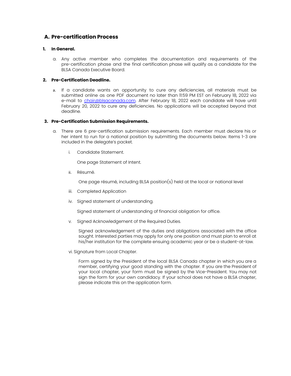# **A. Pre-certification Process**

#### **1. In General.**

a. Any active member who completes the documentation and requirements of the pre-certification phase and the final certification phase will qualify as a candidate for the BLSA Canada Executive Board.

#### **2. Pre-Certification Deadline.**

a. If a candidate wants an opportunity to cure any deficiencies, all materials must be submitted online as one PDF document no later than 11:59 PM EST on February 18, 2022 via e-mail to chair@blsacanada.com. After February 18, 2022 each candidate will have until February 20, 2022 to cure any deficiencies. No applications will be accepted beyond that deadline.

#### **3. Pre-Certification Submission Requirements.**

- a. There are 6 pre-certification submission requirements. Each member must declare his or her intent to run for a national position by submitting the documents below. Items 1-3 are included in the delegate's packet.
	- i. Candidate Statement.

One page Statement of Intent.

ii. Résumé.

One page résumé, including BLSA position(s) held at the local or national level

- iii. Completed Application
- iv. Signed statement of understanding.

Signed statement of understanding of financial obligation for office.

v. Signed Acknowledgement of the Required Duties.

Signed acknowledgement of the duties and obligations associated with the office sought. Interested parties may apply for only one position and must plan to enroll at his/her institution for the complete ensuing academic year or be a student-at-law.

vi. Signature from Local Chapter.

Form signed by the President of the local BLSA Canada chapter in which you are a member, certifying your good standing with the chapter. If you are the President of your local chapter, your form must be signed by the Vice-President. You may not sign the form for your own candidacy. If your school does not have a BLSA chapter, please indicate this on the application form.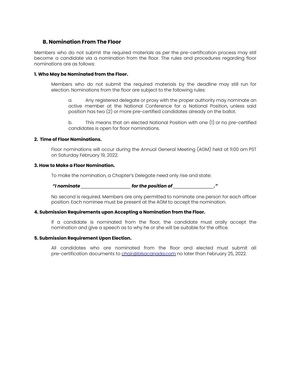# **B. Nomination From The Floor**

Members who do not submit the required materials as per the pre-certification process may still become a candidate via a nomination from the floor. The rules and procedures regarding floor nominations are as follows:

### **1. Who May be Nominated from the Floor.**

Members who do not submit the required materials by the deadline may still run for election. Nominations from the floor are subject to the following rules:

a. Any registered delegate or proxy with the proper authority may nominate an active member at the National Conference for a National Position, unless said position has two (2) or more pre-certified candidates already on the ballot.

b. This means that an elected National Position with one (1) or no pre-certified candidates is open for floor nominations.

#### **2. Time of Floor Nominations.**

Floor nominations will occur during the Annual General Meeting (AGM) held at 11:00 am PST on Saturday February 19, 2022.

#### **3. How to Make a Floor Nomination.**

To make the nomination, a Chapter's Delegate need only rise and state:

#### *"I nominate \_\_\_\_\_\_\_\_\_\_\_\_\_\_\_\_\_\_\_\_\_\_ for the position of \_\_\_\_\_\_\_\_\_\_\_\_\_\_\_\_\_\_."*

No second is required. Members are only permitted to nominate one person for each officer position. Each nominee must be present at the AGM to accept the nomination.

#### **4. Submission Requirements upon Accepting a Nomination from the Floor.**

If a candidate is nominated from the floor, the candidate must orally accept the nomination and give a speech as to why he or she will be suitable for the office.

#### **5. Submission Requirement Upon Election.**

All candidates who are nominated from the floor and elected must submit all pre-certification documents to chair@blsacanada.com no later than February 25, 2022.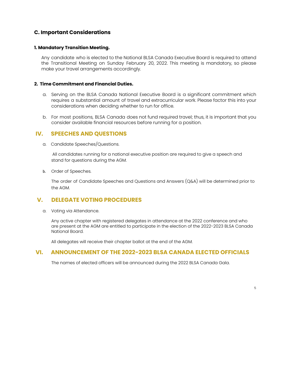# **C. Important Considerations**

# **1. Mandatory Transition Meeting.**

Any candidate who is elected to the National BLSA Canada Executive Board is required to attend the Transitional Meeting on Sunday February 20, 2022. This meeting is mandatory, so please make your travel arrangements accordingly.

# **2. Time Commitment and Financial Duties.**

- a. Serving on the BLSA Canada National Executive Board is a significant commitment which requires a substantial amount of travel and extracurricular work. Please factor this into your considerations when deciding whether to run for office.
- b. For most positions, BLSA Canada does not fund required travel; thus, it is important that you consider available financial resources before running for a position.

# **IV. SPEECHES AND QUESTIONS**

a. Candidate Speeches/Questions.

All candidates running for a national executive position are required to give a speech and stand for questions during the AGM.

b. Order of Speeches.

The order of Candidate Speeches and Questions and Answers (Q&A) will be determined prior to the AGM.

# **V. DELEGATE VOTING PROCEDURES**

a. Voting via Attendance.

Any active chapter with registered delegates in attendance at the 2022 conference and who are present at the AGM are entitled to participate in the election of the 2022-2023 BLSA Canada National Board.

All delegates will receive their chapter ballot at the end of the AGM.

# **VI. ANNOUNCEMENT OF THE 2022-2023 BLSA CANADA ELECTED OFFICIALS**

The names of elected officers will be announced during the 2022 BLSA Canada Gala.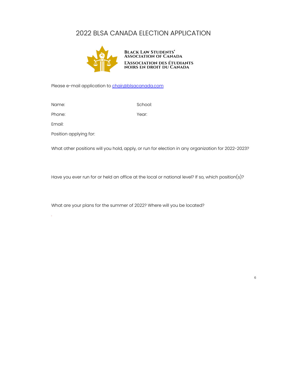# 2022 BLSA CANADA ELECTION APPLICATION



Please e-mail application to **chair@blsacanada.com** 

Name: School: School: School: School: School: School: School: School: School: School: School: School: School: School: School: School: School: School: School: School: School: School: School: School: School: School: School:

Phone: Year: Year:

Email:

.

Position applying for:

What other positions will you hold, apply, or run for election in any organization for 2022-2023?

Have you ever run for or held an office at the local or national level? If so, which position(s)?

What are your plans for the summer of 2022? Where will you be located?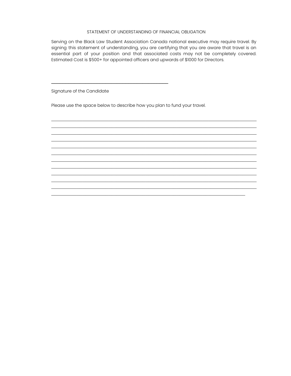# STATEMENT OF UNDERSTANDING OF FINANCIAL OBLIGATION

Serving on the Black Law Student Association Canada national executive may require travel. By signing this statement of understanding, you are certifying that you are aware that travel is an essential part of your position and that associated costs may not be completely covered. Estimated Cost is \$500+ for appointed officers and upwards of \$1000 for Directors.

 $\mathcal{L}_\text{max}$  , and the contribution of the contribution of the contribution of the contribution of the contribution of the contribution of the contribution of the contribution of the contribution of the contribution of t  $\mathcal{L}_\text{max}$  , and the contribution of the contribution of the contribution of the contribution of the contribution of the contribution of the contribution of the contribution of the contribution of the contribution of t  $\mathcal{L}_\text{max}$  , and the contribution of the contribution of the contribution of the contribution of the contribution of the contribution of the contribution of the contribution of the contribution of the contribution of t  $\mathcal{L}_\text{max}$  , and the contribution of the contribution of the contribution of the contribution of the contribution of the contribution of the contribution of the contribution of the contribution of the contribution of t  $\mathcal{L}_\text{max}$  , and the contribution of the contribution of the contribution of the contribution of the contribution of the contribution of the contribution of the contribution of the contribution of the contribution of t  $\mathcal{L}_\text{max}$  , and the contribution of the contribution of the contribution of the contribution of the contribution of the contribution of the contribution of the contribution of the contribution of the contribution of t  $\mathcal{L}_\text{max}$  , and the contribution of the contribution of the contribution of the contribution of the contribution of the contribution of the contribution of the contribution of the contribution of the contribution of t  $\mathcal{L}_\text{max}$  , and the contribution of the contribution of the contribution of the contribution of the contribution of the contribution of the contribution of the contribution of the contribution of the contribution of t  $\mathcal{L}_\text{max}$  , and the contribution of the contribution of the contribution of the contribution of the contribution of the contribution of the contribution of the contribution of the contribution of the contribution of t  $\mathcal{L}_\text{max}$  , and the contribution of the contribution of the contribution of the contribution of the contribution of the contribution of the contribution of the contribution of the contribution of the contribution of t  $\mathcal{L}_\text{max}$  , and the contribution of the contribution of the contribution of the contribution of the contribution of the contribution of the contribution of the contribution of the contribution of the contribution of t  $\mathcal{L}_\mathcal{L} = \mathcal{L}_\mathcal{L} = \mathcal{L}_\mathcal{L} = \mathcal{L}_\mathcal{L} = \mathcal{L}_\mathcal{L} = \mathcal{L}_\mathcal{L} = \mathcal{L}_\mathcal{L} = \mathcal{L}_\mathcal{L} = \mathcal{L}_\mathcal{L} = \mathcal{L}_\mathcal{L} = \mathcal{L}_\mathcal{L} = \mathcal{L}_\mathcal{L} = \mathcal{L}_\mathcal{L} = \mathcal{L}_\mathcal{L} = \mathcal{L}_\mathcal{L} = \mathcal{L}_\mathcal{L} = \mathcal{L}_\mathcal{L}$ 

Signature of the Candidate

Please use the space below to describe how you plan to fund your travel.

**\_\_\_\_\_\_\_\_\_\_\_\_\_\_\_\_\_\_\_\_\_\_\_\_\_\_\_\_\_\_\_\_\_\_\_\_\_\_\_\_\_**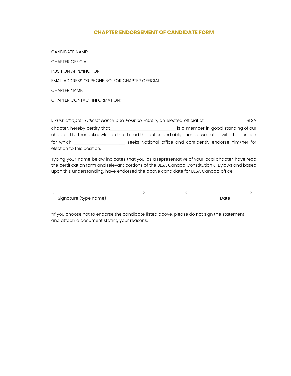# **CHAPTER ENDORSEMENT OF CANDIDATE FORM**

CANDIDATE NAME:

CHAPTER OFFICIAL: POSITION APPLYING FOR: EMAIL ADDRESS OR PHONE NO. FOR CHAPTER OFFICIAL: CHAPTER NAME:

CHAPTER CONTACT INFORMATION:

I, <*List Chapter Official Name and Position Here* >, an elected official of \_\_\_\_\_\_\_\_\_\_\_\_\_\_ BLSA chapter, hereby certify that entirely is a member in good standing of our chapter. I further acknowledge that I read the duties and obligations associated with the position for which **the contract of the seeks** National office and confidently endorse him/her for election to this position.

Typing your name below indicates that you, as a representative of your local chapter, have read the certification form and relevant portions of the BLSA Canada Constitution & Bylaws and based upon this understanding, have endorsed the above candidate for BLSA Canada office.

Signature (type name) Date

<\_\_\_\_\_\_\_\_\_\_\_\_\_\_\_\_\_\_\_\_\_\_\_\_\_\_\_\_\_\_\_> <\_\_\_\_\_\_\_\_\_\_\_\_\_\_\_\_\_\_\_\_\_\_>

\*If you choose not to endorse the candidate listed above, please do not sign the statement and attach a document stating your reasons.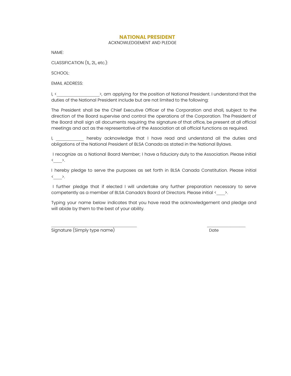# **NATIONAL PRESIDENT**

#### ACKNOWLEDGEMENT AND PLEDGE

NAME:

CLASSIFICATION (1L, 2L, etc.):

SCHOOL:

EMAIL ADDRESS:

I, < \_\_\_\_\_\_\_\_\_\_\_\_\_\_\_\_\_\_\_\_\_>, am applying for the position of National President. I understand that the duties of the National President include but are not limited to the following:

The President shall be the Chief Executive Officer of the Corporation and shall, subject to the direction of the Board supervise and control the operations of the Corporation. The President of the Board shall sign all documents requiring the signature of that office, be present at all official meetings and act as the representative of the Association at all official functions as required.

I, \_\_\_\_\_\_\_\_\_\_\_ hereby acknowledge that I have read and understand all the duties and obligations of the National President of BLSA Canada as stated in the National Bylaws.

I recognize as a National Board Member; I have a fiduciary duty to the Association. Please initial  $\leftarrow$   $\rightarrow$ .

I hereby pledge to serve the purposes as set forth in BLSA Canada Constitution. Please initial  $\leftarrow$  >.

I further pledge that if elected I will undertake any further preparation necessary to serve competently as a member of BLSA Canada's Board of Directors. Please initial <\_\_\_\_\_>.

Typing your name below indicates that you have read the acknowledgement and pledge and will abide by them to the best of your ability.

Signature (Simply type name) Date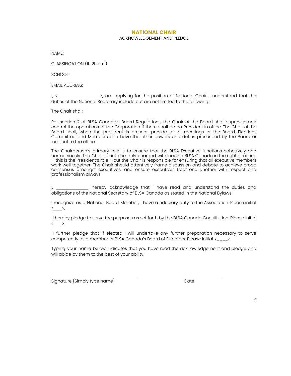#### **NATIONAL CHAIR**

#### ACKNOWLEDGEMENT AND PLEDGE

NAME:

CLASSIFICATION (1L, 2L, etc.):

SCHOOL:

EMAIL ADDRESS:

I, < \_\_\_\_\_\_\_\_\_\_\_\_\_\_\_\_\_\_\_>, am applying for the position of National Chair. I understand that the duties of the National Secretary include but are not limited to the following:

The Chair shall:

Per section 2 of BLSA Canada's Board Regulations, the Chair of the Board shall supervise and control the operations of the Corporation if there shall be no President in office. The Chair of the Board shall, when the president is present, preside at all meetings of the Board, Elections Committee and Members and have the other powers and duties prescribed by the Board or incident to the office.

The Chairperson's primary role is to ensure that the BLSA Executive functions cohesively and harmoniously. The Chair is not primarily charged with leading BLSA Canada in the right direction – this is the President's role – but the Chair is responsible for ensuring that all executive members work well together. The Chair should attentively frame discussion and debate to achieve broad consensus amongst executives, and ensure executives treat one another with respect and professionalism always.

I, \_\_\_\_\_\_\_\_\_\_\_\_\_ hereby acknowledge that I have read and understand the duties and obligations of the National Secretary of BLSA Canada as stated in the National Bylaws.

I recognize as a National Board Member; I have a fiduciary duty to the Association. Please initial <\_\_\_\_>.

I hereby pledge to serve the purposes as set forth by the BLSA Canada Constitution. Please initial  $\leftarrow$   $\rightarrow$ .

I further pledge that if elected I will undertake any further preparation necessary to serve competently as a member of BLSA Canada's Board of Directors. Please initial <\_\_\_\_>.

Typing your name below indicates that you have read the acknowledgement and pledge and will abide by them to the best of your ability.

Signature (Simply type name) and the contract of the Date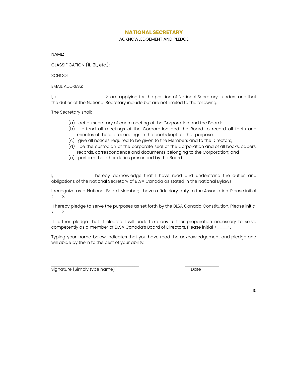### **NATIONAL SECRETARY**

#### ACKNOWLEDGEMENT AND PLEDGE

NAME:

CLASSIFICATION (1L, 2L, etc.):

SCHOOL:

EMAIL ADDRESS:

I, <\_\_\_\_\_\_\_\_\_\_\_\_\_\_\_\_\_\_\_\_\_\_\_>, am applying for the position of National Secretary. I understand that the duties of the National Secretary include but are not limited to the following:

The Secretary shall:

- (a) act as secretary of each meeting of the Corporation and the Board;
- (b) attend all meetings of the Corporation and the Board to record all facts and minutes of those proceedings in the books kept for that purpose;
- (c) give all notices required to be given to the Members and to the Directors;
- (d) be the custodian of the corporate seal of the Corporation and of all books, papers, records, correspondence and documents belonging to the Corporation; and
- (e) perform the other duties prescribed by the Board.

I, \_\_\_\_\_\_\_\_\_\_\_\_\_\_\_ hereby acknowledge that I have read and understand the duties and obligations of the National Secretary of BLSA Canada as stated in the National Bylaws.

I recognize as a National Board Member; I have a fiduciary duty to the Association. Please initial  $\leftarrow$   $\rightarrow$ .

I hereby pledge to serve the purposes as set forth by the BLSA Canada Constitution. Please initial  $\leftarrow$   $\rightarrow$ .

I further pledge that if elected I will undertake any further preparation necessary to serve competently as a member of BLSA Canada's Board of Directors. Please initial  $\langle$ \_\_\_\_ $\rangle$ .

Typing your name below indicates that you have read the acknowledgement and pledge and will abide by them to the best of your ability.

Signature (Simply type name) and the contract of the Date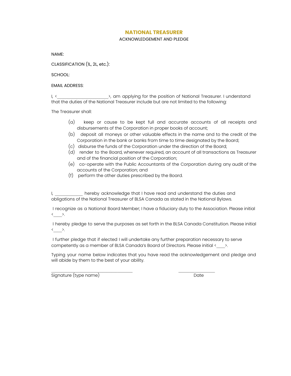## **NATIONAL TREASURER**

#### ACKNOWLEDGEMENT AND PLEDGE

NAME:

CLASSIFICATION (1L, 2L, etc.):

SCHOOL:

### EMAIL ADDRESS:

I, <\_\_\_\_\_\_\_\_\_\_\_\_\_\_\_\_\_\_\_\_\_\_\_\_>, am applying for the position of National Treasurer. I understand that the duties of the National Treasurer include but are not limited to the following:

The Treasurer shall:

- (a) keep or cause to be kept full and accurate accounts of all receipts and disbursements of the Corporation in proper books of account;
- (b) deposit all moneys or other valuable effects in the name and to the credit of the Corporation in the bank or banks from time to time designated by the Board;
- (c) disburse the funds of the Corporation under the direction of the Board;
- (d) render to the Board, whenever required, an account of all transactions as Treasurer and of the financial position of the Corporation;
- (e) co-operate with the Public Accountants of the Corporation during any audit of the accounts of the Corporation; and
- (f) perform the other duties prescribed by the Board.

I, \_\_\_\_\_\_\_\_\_\_\_\_ hereby acknowledge that I have read and understand the duties and obligations of the National Treasurer of BLSA Canada as stated in the National Bylaws.

I recognize as a National Board Member; I have a fiduciary duty to the Association. Please initial  $\leftarrow$   $\rightarrow$ .

I hereby pledge to serve the purposes as set forth in the BLSA Canada Constitution. Please initial  $\leftarrow$  >.

I further pledge that if elected I will undertake any further preparation necessary to serve competently as a member of BLSA Canada's Board of Directors. Please initial <  $\rightarrow$ .

Typing your name below indicates that you have read the acknowledgement and pledge and will abide by them to the best of your ability.

Signature (type name) and the state of the Date of the Date of the Date of the Date of the Date of the Date of the Date of the Date of the Date of the Date of the Date of the Date of the Date of the Date of the Date of the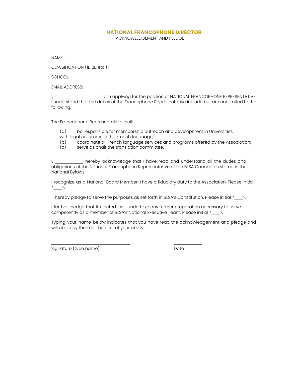# **NATIONAL FRANCOPHONE DIRECTOR**

ACKNOWLEDGEMENT AND PLEDGE

NAME :

CLASSIFICATION (1L, 2L, etc.) :

SCHOOL:

EMAIL ADDRESS:

I, <\_\_\_\_\_\_\_\_\_\_\_\_\_\_\_\_\_\_\_\_>, am applying for the position of NATIONAL FRANCOPHONE REPRESENTATIVE. I understand that the duties of the Francophone Representative include but are not limited to the following.

The Francophone Representative shall:

- (a) be responsible for membership outreach and development in Universities with legal programs in the French language;
- (b) coordinate all French language services and programs offered by the Association;<br>(c) serve as chair the translation committee.
- serve as chair the translation committee.

I, \_\_\_\_\_\_\_\_\_\_\_\_ hereby acknowledge that I have read and understand all the duties and obligations of the National Francophone Representative of the BLSA Canada as stated in the National Bylaws.

I recognize as a National Board Member; I have a fiduciary duty to the Association. Please initial  $\leftarrow$   $\rightarrow$ .

I hereby pledge to serve the purposes as set forth in BLSA's Constitution. Please initial  $\langle \_\_\_\rangle$ .

I further pledge that if elected I will undertake any further preparation necessary to serve competently as a member of BLSA's National Executive Team. Please initial <  $\rightarrow$ .

Typing your name below indicates that you have read the acknowledgement and pledge and will abide by them to the best of your ability.

Signature (type name) and the contract of the Date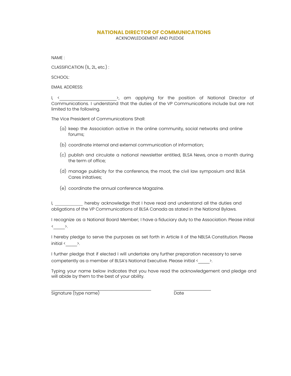# **NATIONAL DIRECTOR OF COMMUNICATIONS**

ACKNOWLEDGEMENT AND PLEDGE

NAME :

CLASSIFICATION (1L, 2L, etc.) :

SCHOOL:

EMAIL ADDRESS:

I, < \_\_\_\_\_\_\_\_\_\_\_\_\_\_\_\_\_\_\_\_\_\_>, am applying for the position of National Director of Communications. I understand that the duties of the VP Communications include but are not limited to the following.

The Vice President of Communications Shall:

- (a) keep the Association active in the online community, social networks and online forums;
- (b) coordinate internal and external communication of information;
- (c) publish and circulate a national newsletter entitled, BLSA News, once a month during the term of office;
- (d) manage publicity for the conference, the moot, the civil law symposium and BLSA Cares initatives;
- (e) coordinate the annual conference Magazine.

I, \_\_\_\_\_\_\_\_\_\_\_\_ hereby acknowledge that I have read and understand all the duties and obligations of the VP Communications of BLSA Canada as stated in the National Bylaws.

I recognize as a National Board Member; I have a fiduciary duty to the Association. Please initial  $\leftarrow$   $\rightarrow$ .

I hereby pledge to serve the purposes as set forth in Article II of the NBLSA Constitution. Please initial  $\leftarrow$   $\rightarrow$ .

I further pledge that if elected I will undertake any further preparation necessary to serve competently as a member of BLSA's National Executive. Please initial <  $\rightarrow$ .

 $\mathcal{L}_\text{max}$  , and the set of the set of the set of the set of the set of the set of the set of the set of the set of the set of the set of the set of the set of the set of the set of the set of the set of the set of the

Typing your name below indicates that you have read the acknowledgement and pledge and will abide by them to the best of your ability.

Signature (type name) and the contract of the Date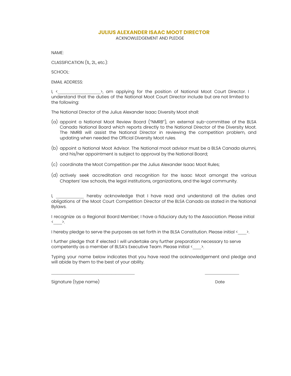# **JULIUS ALEXANDER ISAAC MOOT DIRECTOR**

ACKNOWLEDGEMENT AND PLEDGE

NAME:

CLASSIFICATION (1L, 2L, etc.):

SCHOOL:

EMAIL ADDRESS:

I, < \_ \_ \_ \_ \_ \_ \_ >, am applying for the position of National Moot Court Director. I understand that the duties of the National Moot Court Director include but are not limited to the following:

The National Director of the Julius Alexander Isaac Diversity Moot shall:

- (a) appoint a National Moot Review Board ("NMRB"), an external sub-committee of the BLSA Canada National Board which reports directly to the National Director of the Diversity Moot. The NMRB will assist the National Director in reviewing the competition problem, and updating when needed the Official Diversity Moot rules.
- (b) appoint a National Moot Advisor. The National moot advisor must be a BLSA Canada alumni, and his/her appointment is subject to approval by the National Board;
- (c) coordinate the Moot Competition per the Julius Alexander Isaac Moot Rules;
- (d) actively seek accreditation and recognition for the Isaac Moot amongst the various Chapters' law schools, the legal institutions, organizations, and the legal community.

I, \_\_\_\_\_\_\_\_\_\_\_\_ hereby acknowledge that I have read and understand all the duties and obligations of the Moot Court Competition Director of the BLSA Canada as stated in the National Bylaws.

I recognize as a Regional Board Member; I have a fiduciary duty to the Association. Please initial  $\leftarrow$   $\rightarrow$ .

I hereby pledge to serve the purposes as set forth in the BLSA Constitution. Please initial  $\langle \rangle$ .

I further pledge that if elected I will undertake any further preparation necessary to serve competently as a member of BLSA's Executive Team. Please initial < $\rightarrow$ .

Typing your name below indicates that you have read the acknowledgement and pledge and will abide by them to the best of your ability.

Signature (type name) and the state of the state of the Date of the Date of the Date of the Date of the Date o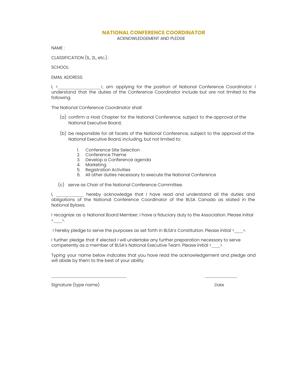# **NATIONAL CONFERENCE COORDINATOR**

ACKNOWLEDGEMENT AND PLEDGE

NAME :

CLASSIFICATION (1L, 2L, etc.) :

SCHOOL:

EMAIL ADDRESS:

I, <  $\rightarrow$  am applying for the position of National Conference Coordinator. I understand that the duties of the Conference Coordinator include but are not limited to the following.

The National Conference Coordinator shall:

- (a) confirm a Host Chapter for the National Conference, subject to the approval of the National Executive Board;
- (b) be responsible for all facets of the National Conference, subject to the approval of the National Executive Board, including, but not limited to:
	- 1. Conference Site Selection
	- 2. Conference Theme
	- 3. Develop a Conference agenda
	- 4. Marketing
	- 5. Registration Activities
	- 6. All other duties necessary to execute the National Conference

(c) serve as Chair of the National Conference Committee.

I, a later hereby acknowledge that I have read and understand all the duties and obligations of the National Conference Coordinator of the BLSA Canada as stated in the National Bylaws.

I recognize as a National Board Member; I have a fiduciary duty to the Association. Please initial  $\leftarrow$   $\rightarrow$ .

I hereby pledge to serve the purposes as set forth in BLSA's Constitution. Please initial  $\langle \rangle$ .

I further pledge that if elected I will undertake any further preparation necessary to serve competently as a member of BLSA's National Executive Team. Please initial <  $\rightarrow$ .

 $\mathcal{L}_\text{max}$ 

Typing your name below indicates that you have read the acknowledgement and pledge and will abide by them to the best of your ability.

Signature (type name) and the state of the Date of the Date of the Date of the Date of the Date of the Date of the Date of the Date of the Date of the Date of the Date of the Date of the Date of the Date of the Date of the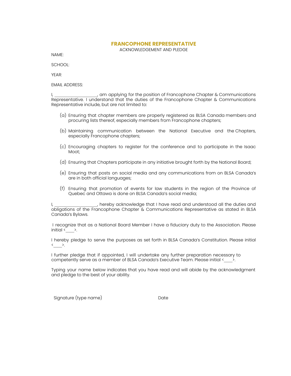# **FRANCOPHONE REPRESENTATIVE**

ACKNOWLEDGEMENT AND PLEDGE

NAME:

SCHOOL:

YEAR:

EMAIL ADDRESS:

I, am applying for the position of Francophone Chapter & Communications Representative. I understand that the duties of the Francophone Chapter & Communications Representative include, but are not limited to:

- (a) Ensuring that chapter members are properly registered as BLSA Canada members and procuring lists thereof, especially members from Francophone chapters;
- (b) Maintaining communication between the National Executive and the Chapters, especially Francophone chapters;
- (c) Encouraging chapters to register for the conference and to participate in the Isaac Moot;
- (d) Ensuring that Chapters participate in any initiative brought forth by the National Board;
- (e) Ensuring that posts on social media and any communications from on BLSA Canada's are in both official languages;
- (f) Ensuring that promotion of events for law students in the region of the Province of Quebec and Ottawa is done on BLSA Canada's social media;

I, according that I have read and understood all the duties and obligations of the Francophone Chapter & Communications Representative as stated in BLSA Canada's Bylaws.

I recognize that as a National Board Member I have a fiduciary duty to the Association. Please initial  $\langle \rangle$  >.

I hereby pledge to serve the purposes as set forth in BLSA Canada's Constitution. Please initial  $\leftarrow$   $\rightarrow$ .

I further pledge that if appointed, I will undertake any further preparation necessary to competently serve as a member of BLSA Canada's Executive Team. Please initial <  $\rightarrow$ .

Typing your name below indicates that you have read and will abide by the acknowledgment and pledge to the best of your ability.

Signature (type name) and the control of the Date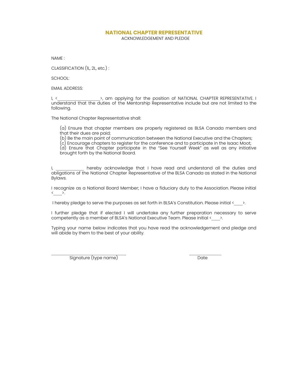## **NATIONAL CHAPTER REPRESENTATIVE**

ACKNOWLEDGEMENT AND PLEDGE

NAME :

CLASSIFICATION (1L, 2L, etc.) :

SCHOOL:

EMAIL ADDRESS:

I, < \_\_\_\_\_\_\_\_\_\_\_\_\_\_\_\_\_\_\_>, am applying for the position of NATIONAL CHAPTER REPRESENTATIVE. I understand that the duties of the Mentorship Representative include but are not limited to the following.

The National Chapter Representative shall:

(a) Ensure that chapter members are properly registered as BLSA Canada members and that their dues are paid;

(b) Be the main point of communication between the National Executive and the Chapters;

(c) Encourage chapters to register for the conference and to participate in the Isaac Moot;

(d) Ensure that Chapter participate in the "See Yourself Week" as well as any initiative brought forth by the National Board.

I, and thereby acknowledge that I have read and understand all the duties and obligations of the National Chapter Representative of the BLSA Canada as stated in the National Bylaws.

I recognize as a National Board Member; I have a fiduciary duty to the Association. Please initial  $\leftarrow$   $\sum$ 

I hereby pledge to serve the purposes as set forth in BLSA's Constitution. Please initial <  $\rightarrow$ .

I further pledge that if elected I will undertake any further preparation necessary to serve competently as a member of BLSA's National Executive Team. Please initial <  $\rightarrow$ .

Typing your name below indicates that you have read the acknowledgement and pledge and will abide by them to the best of your ability.

Signature (type name) Date

 $\mathcal{L}_\text{max}$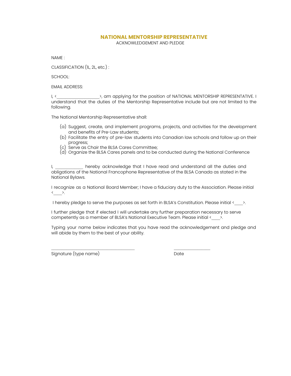# **NATIONAL MENTORSHIP REPRESENTATIVE**

ACKNOWLEDGEMENT AND PLEDGE

NAME :

CLASSIFICATION (1L, 2L, etc.) :

SCHOOL:

EMAIL ADDRESS:

I, < The same opplying for the position of NATIONAL MENTORSHIP REPRESENTATIVE. I understand that the duties of the Mentorship Representative include but are not limited to the following.

The National Mentorship Representative shall:

- (a) Suggest, create, and implement programs, projects, and activities for the development and benefits of Pre-Law students;
- (b) Facilitate the entry of pre-law students into Canadian law schools and follow up on their progress;
- (c) Serve as Chair the BLSA Cares Committee;
- (d) Organize the BLSA Cares panels and to be conducted during the National Conference

I, The hereby acknowledge that I have read and understand all the duties and obligations of the National Francophone Representative of the BLSA Canada as stated in the National Bylaws.

I recognize as a National Board Member; I have a fiduciary duty to the Association. Please initial  $\leftarrow$   $\rightarrow$ .

I hereby pledge to serve the purposes as set forth in BLSA's Constitution. Please initial  $\langle \rangle$ .

I further pledge that if elected I will undertake any further preparation necessary to serve competently as a member of BLSA's National Executive Team. Please initial <  $\rightarrow$ .

 $\mathcal{L}_\text{max}$ 

Typing your name below indicates that you have read the acknowledgement and pledge and will abide by them to the best of your ability.

Signature (type name) and the state of the Date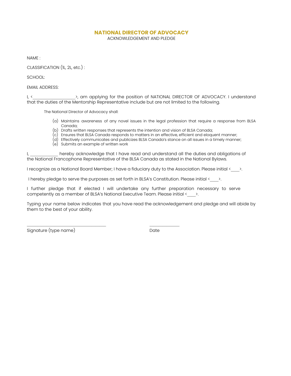# **NATIONAL DIRECTOR OF ADVOCACY**

ACKNOWLEDGEMENT AND PLEDGE

NAME :

CLASSIFICATION (1L, 2L, etc.) :

SCHOOL:

EMAIL ADDRESS:

I, < The section of NATIONAL DIRECTOR OF ADVOCACY. I understand that the duties of the Mentorship Representative include but are not limited to the following.

The National Director of Advocacy shall:

- (a) Maintains awareness of any novel issues in the legal profession that require a response from BLSA Canada;
- (b) Drafts written responses that represents the intention and vision of BLSA Canada;
- (c) Ensures that BLSA Canada responds to matters in an effective, efficient and eloquent manner;
- (d) Effectively communicates and publicizes BLSA Canada's stance on all issues in a timely manner;
- (e) Submits an example of written work

 $\mathcal{L}_\text{max}$  and the contract of the contract of the contract of the contract of the contract of the contract of the contract of the contract of the contract of the contract of the contract of the contract of the contrac

I, a state hereby acknowledge that I have read and understand all the duties and obligations of the National Francophone Representative of the BLSA Canada as stated in the National Bylaws.

I recognize as a National Board Member; I have a fiduciary duty to the Association. Please initial <  $\rightarrow$ .

I hereby pledge to serve the purposes as set forth in BLSA's Constitution. Please initial  $\langle \rangle$ .

I further pledge that if elected I will undertake any further preparation necessary to serve competently as a member of BLSA's National Executive Team. Please initial <  $\rightarrow$ .

Typing your name below indicates that you have read the acknowledgement and pledge and will abide by them to the best of your ability.

Signature (type name) and the contract of the Date